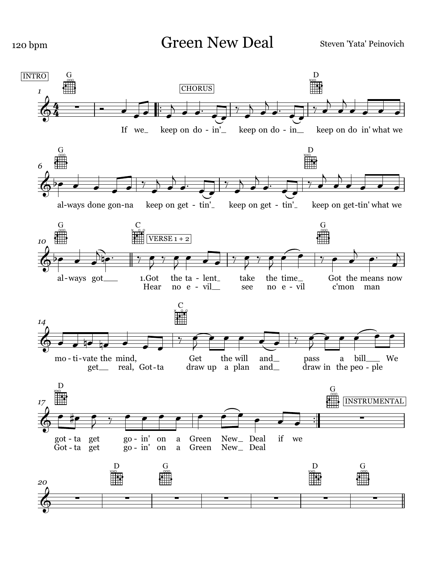